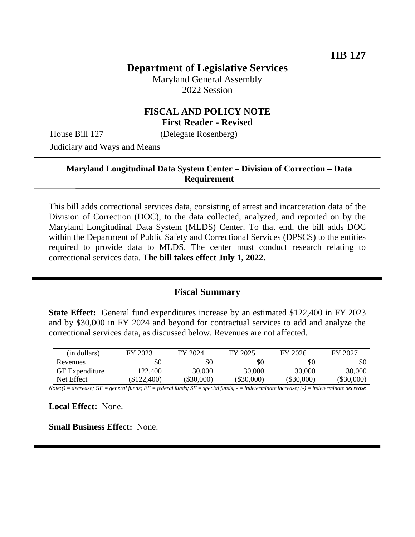# **Department of Legislative Services**

Maryland General Assembly 2022 Session

## **FISCAL AND POLICY NOTE First Reader - Revised**

House Bill 127 (Delegate Rosenberg)

Judiciary and Ways and Means

## **Maryland Longitudinal Data System Center – Division of Correction – Data Requirement**

This bill adds correctional services data, consisting of arrest and incarceration data of the Division of Correction (DOC), to the data collected, analyzed, and reported on by the Maryland Longitudinal Data System (MLDS) Center. To that end, the bill adds DOC within the Department of Public Safety and Correctional Services (DPSCS) to the entities required to provide data to MLDS. The center must conduct research relating to correctional services data. **The bill takes effect July 1, 2022.**

## **Fiscal Summary**

**State Effect:** General fund expenditures increase by an estimated \$122,400 in FY 2023 and by \$30,000 in FY 2024 and beyond for contractual services to add and analyze the correctional services data, as discussed below. Revenues are not affected.

| (in dollars)          | FY 2023       | FY 2024      | FY 2025      | FY 2026      | FY 2027    |
|-----------------------|---------------|--------------|--------------|--------------|------------|
| Revenues              | \$0           | \$0          | \$0          | \$0          | \$0        |
| <b>GF</b> Expenditure | 122.400       | 30.000       | 30,000       | 30,000       | 30,000     |
| Net Effect            | $(\$122,400)$ | $(\$30,000)$ | $(\$30,000)$ | $(\$30,000)$ | (\$30,000) |

*Note:() = decrease; GF = general funds; FF = federal funds; SF = special funds; - = indeterminate increase; (-) = indeterminate decrease*

**Local Effect:** None.

**Small Business Effect:** None.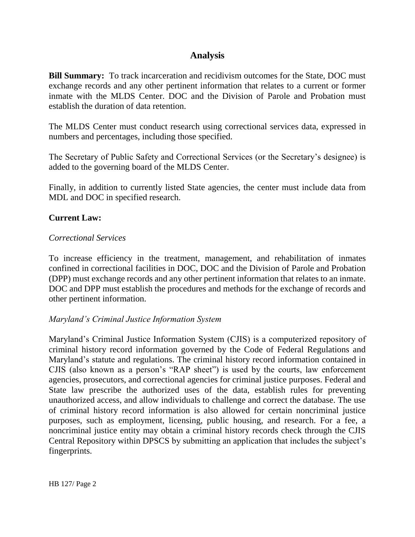# **Analysis**

**Bill Summary:** To track incarceration and recidivism outcomes for the State, DOC must exchange records and any other pertinent information that relates to a current or former inmate with the MLDS Center. DOC and the Division of Parole and Probation must establish the duration of data retention.

The MLDS Center must conduct research using correctional services data, expressed in numbers and percentages, including those specified.

The Secretary of Public Safety and Correctional Services (or the Secretary's designee) is added to the governing board of the MLDS Center.

Finally, in addition to currently listed State agencies, the center must include data from MDL and DOC in specified research.

## **Current Law:**

#### *Correctional Services*

To increase efficiency in the treatment, management, and rehabilitation of inmates confined in correctional facilities in DOC, DOC and the Division of Parole and Probation (DPP) must exchange records and any other pertinent information that relates to an inmate. DOC and DPP must establish the procedures and methods for the exchange of records and other pertinent information.

## *Maryland's Criminal Justice Information System*

Maryland's Criminal Justice Information System (CJIS) is a computerized repository of criminal history record information governed by the Code of Federal Regulations and Maryland's statute and regulations. The criminal history record information contained in CJIS (also known as a person's "RAP sheet") is used by the courts, law enforcement agencies, prosecutors, and correctional agencies for criminal justice purposes. Federal and State law prescribe the authorized uses of the data, establish rules for preventing unauthorized access, and allow individuals to challenge and correct the database. The use of criminal history record information is also allowed for certain noncriminal justice purposes, such as employment, licensing, public housing, and research. For a fee, a noncriminal justice entity may obtain a criminal history records check through the CJIS Central Repository within DPSCS by submitting an application that includes the subject's fingerprints.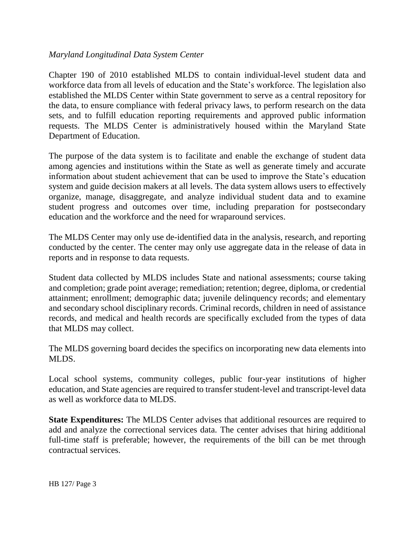#### *Maryland Longitudinal Data System Center*

Chapter 190 of 2010 established MLDS to contain individual-level student data and workforce data from all levels of education and the State's workforce. The legislation also established the MLDS Center within State government to serve as a central repository for the data, to ensure compliance with federal privacy laws, to perform research on the data sets, and to fulfill education reporting requirements and approved public information requests. The MLDS Center is administratively housed within the Maryland State Department of Education.

The purpose of the data system is to facilitate and enable the exchange of student data among agencies and institutions within the State as well as generate timely and accurate information about student achievement that can be used to improve the State's education system and guide decision makers at all levels. The data system allows users to effectively organize, manage, disaggregate, and analyze individual student data and to examine student progress and outcomes over time, including preparation for postsecondary education and the workforce and the need for wraparound services.

The MLDS Center may only use de-identified data in the analysis, research, and reporting conducted by the center. The center may only use aggregate data in the release of data in reports and in response to data requests.

Student data collected by MLDS includes State and national assessments; course taking and completion; grade point average; remediation; retention; degree, diploma, or credential attainment; enrollment; demographic data; juvenile delinquency records; and elementary and secondary school disciplinary records. Criminal records, children in need of assistance records, and medical and health records are specifically excluded from the types of data that MLDS may collect.

The MLDS governing board decides the specifics on incorporating new data elements into MLDS.

Local school systems, community colleges, public four-year institutions of higher education, and State agencies are required to transfer student-level and transcript-level data as well as workforce data to MLDS.

**State Expenditures:** The MLDS Center advises that additional resources are required to add and analyze the correctional services data. The center advises that hiring additional full-time staff is preferable; however, the requirements of the bill can be met through contractual services.